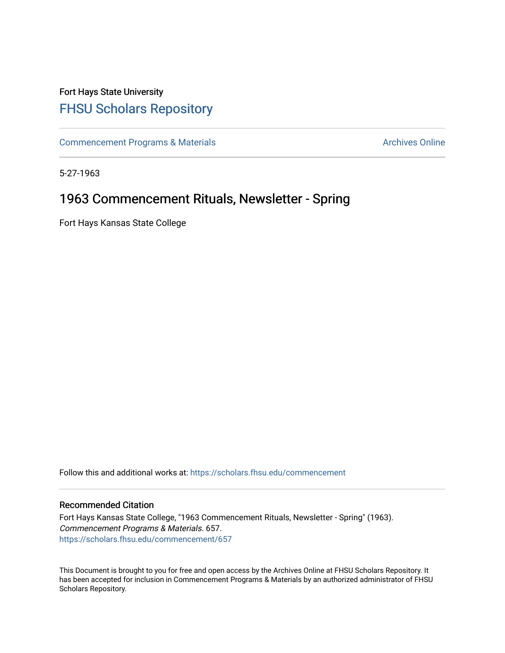## Fort Hays State University [FHSU Scholars Repository](https://scholars.fhsu.edu/)

[Commencement Programs & Materials](https://scholars.fhsu.edu/commencement) **Archives Online** Archives Online

5-27-1963

### 1963 Commencement Rituals, Newsletter - Spring

Fort Hays Kansas State College

Follow this and additional works at: [https://scholars.fhsu.edu/commencement](https://scholars.fhsu.edu/commencement?utm_source=scholars.fhsu.edu%2Fcommencement%2F657&utm_medium=PDF&utm_campaign=PDFCoverPages)

### Recommended Citation

Fort Hays Kansas State College, "1963 Commencement Rituals, Newsletter - Spring" (1963). Commencement Programs & Materials. 657. [https://scholars.fhsu.edu/commencement/657](https://scholars.fhsu.edu/commencement/657?utm_source=scholars.fhsu.edu%2Fcommencement%2F657&utm_medium=PDF&utm_campaign=PDFCoverPages)

This Document is brought to you for free and open access by the Archives Online at FHSU Scholars Repository. It has been accepted for inclusion in Commencement Programs & Materials by an authorized administrator of FHSU Scholars Repository.